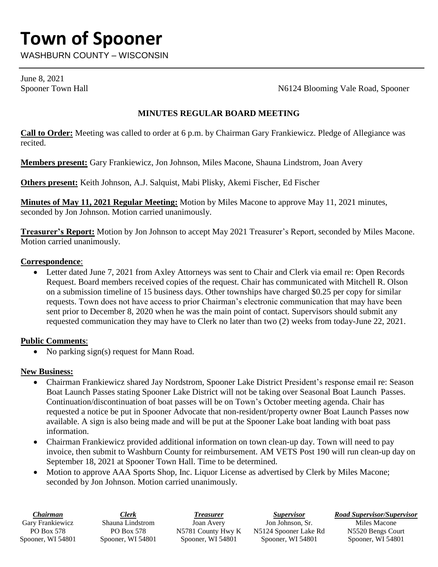# **Town of Spooner**

WASHBURN COUNTY – WISCONSIN

June 8, 2021

Spooner Town Hall Spooner Town Hall Spooner Town Hall Spooner N6124 Blooming Vale Road, Spooner

### **MINUTES REGULAR BOARD MEETING**

**Call to Order:** Meeting was called to order at 6 p.m. by Chairman Gary Frankiewicz. Pledge of Allegiance was recited.

**Members present:** Gary Frankiewicz, Jon Johnson, Miles Macone, Shauna Lindstrom, Joan Avery

**Others present:** Keith Johnson, A.J. Salquist, Mabi Plisky, Akemi Fischer, Ed Fischer

**Minutes of May 11, 2021 Regular Meeting:** Motion by Miles Macone to approve May 11, 2021 minutes, seconded by Jon Johnson. Motion carried unanimously.

**Treasurer's Report:** Motion by Jon Johnson to accept May 2021 Treasurer's Report, seconded by Miles Macone. Motion carried unanimously.

#### **Correspondence**:

 Letter dated June 7, 2021 from Axley Attorneys was sent to Chair and Clerk via email re: Open Records Request. Board members received copies of the request. Chair has communicated with Mitchell R. Olson on a submission timeline of 15 business days. Other townships have charged \$0.25 per copy for similar requests. Town does not have access to prior Chairman's electronic communication that may have been sent prior to December 8, 2020 when he was the main point of contact. Supervisors should submit any requested communication they may have to Clerk no later than two (2) weeks from today-June 22, 2021.

## **Public Comments**:

• No parking sign(s) request for Mann Road.

#### **New Business:**

- Chairman Frankiewicz shared Jay Nordstrom, Spooner Lake District President's response email re: Season Boat Launch Passes stating Spooner Lake District will not be taking over Seasonal Boat Launch Passes. Continuation/discontinuation of boat passes will be on Town's October meeting agenda. Chair has requested a notice be put in Spooner Advocate that non-resident/property owner Boat Launch Passes now available. A sign is also being made and will be put at the Spooner Lake boat landing with boat pass information.
- Chairman Frankiewicz provided additional information on town clean-up day. Town will need to pay invoice, then submit to Washburn County for reimbursement. AM VETS Post 190 will run clean-up day on September 18, 2021 at Spooner Town Hall. Time to be determined.
- Motion to approve AAA Sports Shop, Inc. Liquor License as advertised by Clerk by Miles Macone; seconded by Jon Johnson. Motion carried unanimously.

| Chairman          | <b>Elerk</b>      | Treasurer          | <i>Supervisor</i>     | <b>Road Supervisor/Supervisor</b> |
|-------------------|-------------------|--------------------|-----------------------|-----------------------------------|
| Gary Frankiewicz  | Shauna Lindstrom  | Joan Avery         | Jon Johnson, Sr.      | Miles Macone                      |
| PO Box 578        | PO Box 578        | N5781 County Hwy K | N5124 Spooner Lake Rd | N5520 Bengs Court                 |
| Spooner, WI 54801 | Spooner, WI 54801 | Spooner, WI 54801  | Spooner, WI 54801     | Spooner, WI 54801                 |